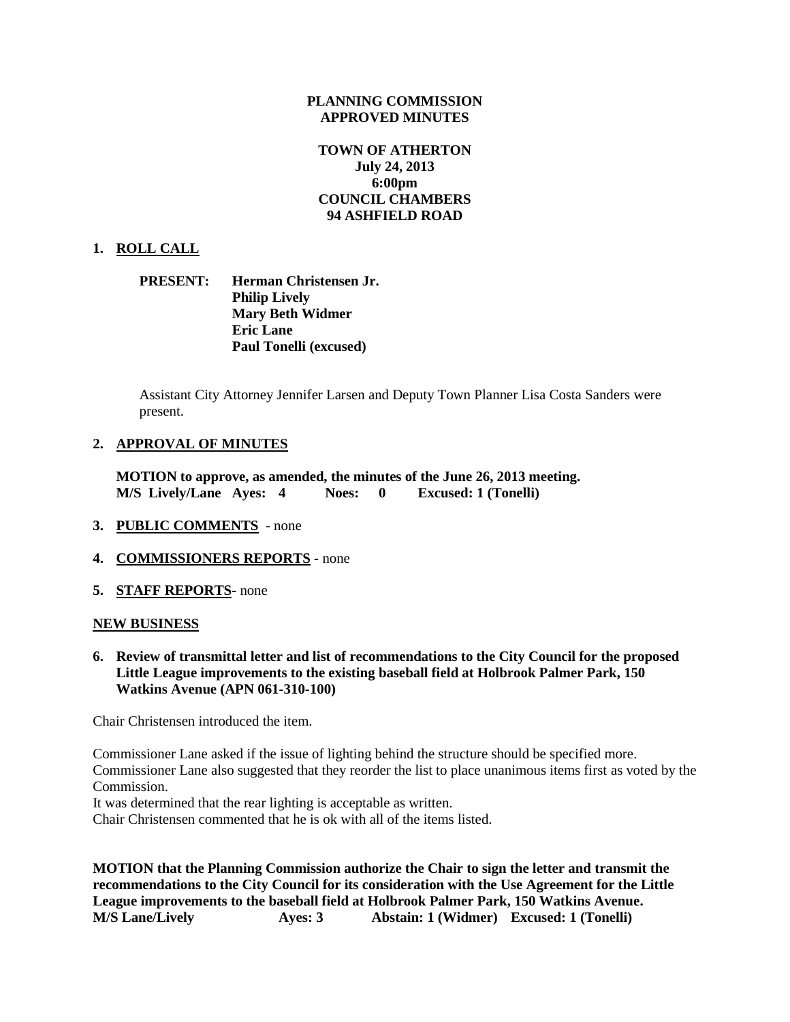#### **PLANNING COMMISSION APPROVED MINUTES**

# **TOWN OF ATHERTON July 24, 2013 6:00pm COUNCIL CHAMBERS 94 ASHFIELD ROAD**

## **1. ROLL CALL**

## **PRESENT: Herman Christensen Jr. Philip Lively Mary Beth Widmer Eric Lane Paul Tonelli (excused)**

Assistant City Attorney Jennifer Larsen and Deputy Town Planner Lisa Costa Sanders were present.

#### **2. APPROVAL OF MINUTES**

**MOTION to approve, as amended, the minutes of the June 26, 2013 meeting. M/S Lively/Lane Ayes: 4 Noes: 0 Excused: 1 (Tonelli)**

- **3. PUBLIC COMMENTS**  none
- **4. COMMISSIONERS REPORTS -** none
- **5. STAFF REPORTS-** none

#### **NEW BUSINESS**

**6. Review of transmittal letter and list of recommendations to the City Council for the proposed Little League improvements to the existing baseball field at Holbrook Palmer Park, 150 Watkins Avenue (APN 061-310-100)**

Chair Christensen introduced the item.

Commissioner Lane asked if the issue of lighting behind the structure should be specified more. Commissioner Lane also suggested that they reorder the list to place unanimous items first as voted by the Commission.

It was determined that the rear lighting is acceptable as written.

Chair Christensen commented that he is ok with all of the items listed.

**MOTION that the Planning Commission authorize the Chair to sign the letter and transmit the recommendations to the City Council for its consideration with the Use Agreement for the Little League improvements to the baseball field at Holbrook Palmer Park, 150 Watkins Avenue. M/S Lane/Lively Ayes: 3 Abstain: 1 (Widmer) Excused: 1 (Tonelli)**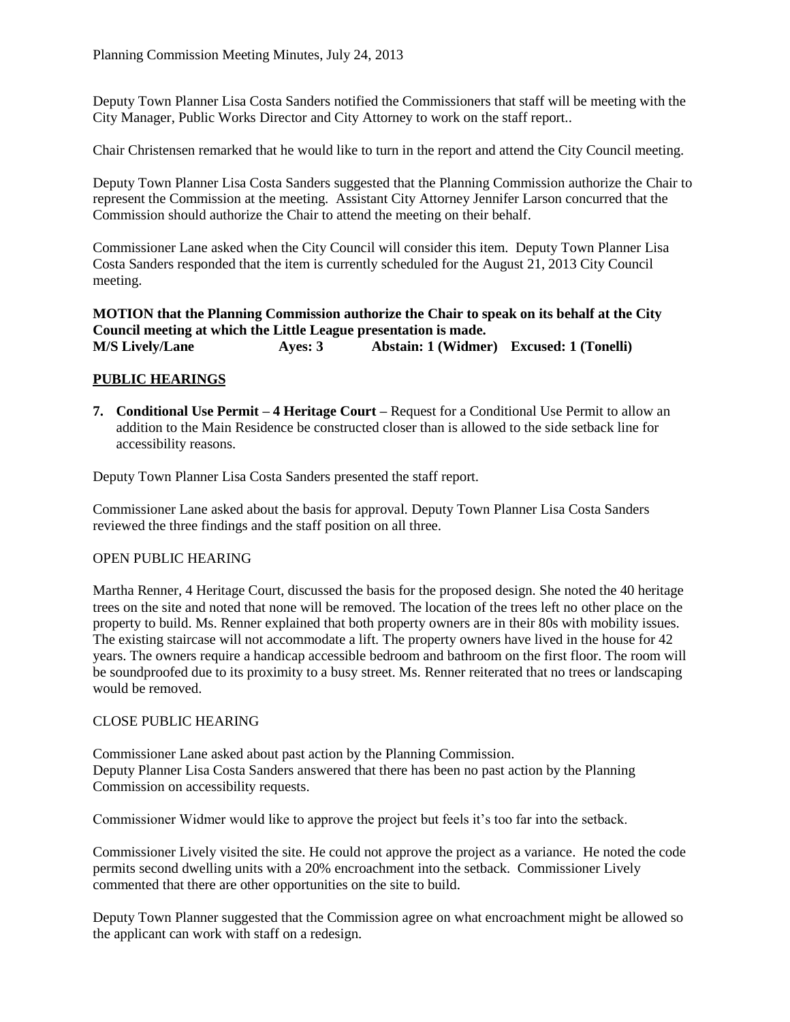Deputy Town Planner Lisa Costa Sanders notified the Commissioners that staff will be meeting with the City Manager, Public Works Director and City Attorney to work on the staff report..

Chair Christensen remarked that he would like to turn in the report and attend the City Council meeting.

Deputy Town Planner Lisa Costa Sanders suggested that the Planning Commission authorize the Chair to represent the Commission at the meeting. Assistant City Attorney Jennifer Larson concurred that the Commission should authorize the Chair to attend the meeting on their behalf.

Commissioner Lane asked when the City Council will consider this item. Deputy Town Planner Lisa Costa Sanders responded that the item is currently scheduled for the August 21, 2013 City Council meeting.

**MOTION that the Planning Commission authorize the Chair to speak on its behalf at the City Council meeting at which the Little League presentation is made. M/S Lively/Lane Ayes: 3 Abstain: 1 (Widmer) Excused: 1 (Tonelli)**

# **PUBLIC HEARINGS**

**7. Conditional Use Permit – 4 Heritage Court –** Request for a Conditional Use Permit to allow an addition to the Main Residence be constructed closer than is allowed to the side setback line for accessibility reasons.

Deputy Town Planner Lisa Costa Sanders presented the staff report.

Commissioner Lane asked about the basis for approval. Deputy Town Planner Lisa Costa Sanders reviewed the three findings and the staff position on all three.

## OPEN PUBLIC HEARING

Martha Renner, 4 Heritage Court, discussed the basis for the proposed design. She noted the 40 heritage trees on the site and noted that none will be removed. The location of the trees left no other place on the property to build. Ms. Renner explained that both property owners are in their 80s with mobility issues. The existing staircase will not accommodate a lift. The property owners have lived in the house for 42 years. The owners require a handicap accessible bedroom and bathroom on the first floor. The room will be soundproofed due to its proximity to a busy street. Ms. Renner reiterated that no trees or landscaping would be removed.

## CLOSE PUBLIC HEARING

Commissioner Lane asked about past action by the Planning Commission. Deputy Planner Lisa Costa Sanders answered that there has been no past action by the Planning Commission on accessibility requests.

Commissioner Widmer would like to approve the project but feels it's too far into the setback.

Commissioner Lively visited the site. He could not approve the project as a variance. He noted the code permits second dwelling units with a 20% encroachment into the setback. Commissioner Lively commented that there are other opportunities on the site to build.

Deputy Town Planner suggested that the Commission agree on what encroachment might be allowed so the applicant can work with staff on a redesign.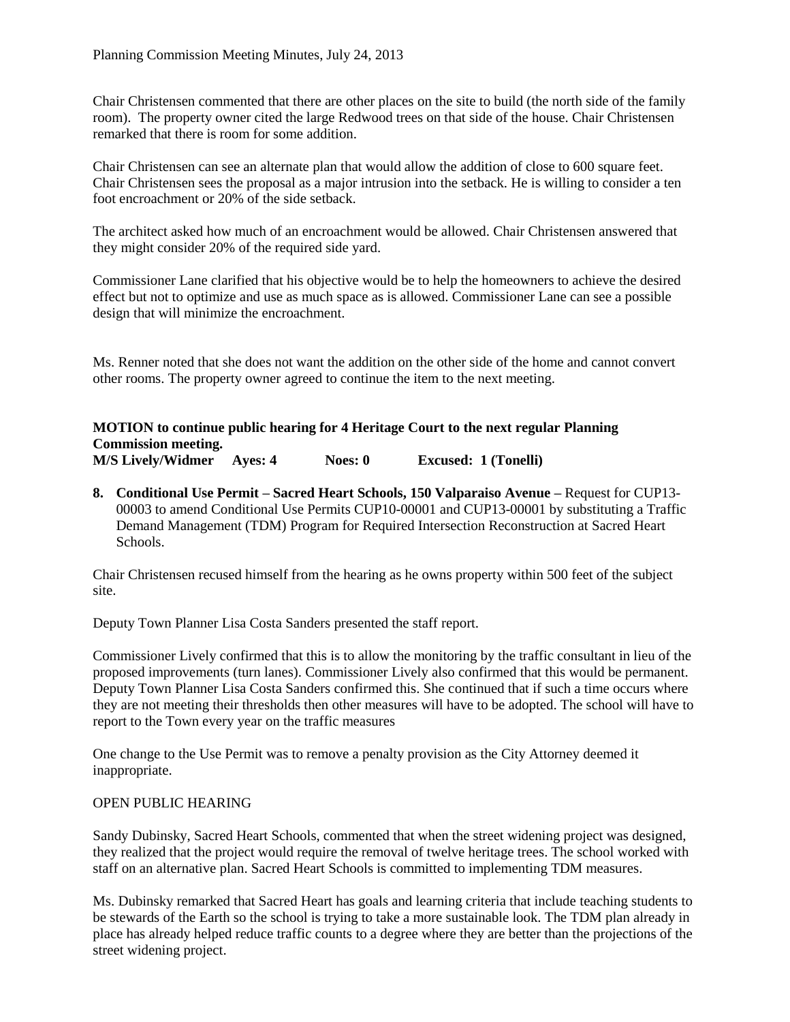Chair Christensen commented that there are other places on the site to build (the north side of the family room). The property owner cited the large Redwood trees on that side of the house. Chair Christensen remarked that there is room for some addition.

Chair Christensen can see an alternate plan that would allow the addition of close to 600 square feet. Chair Christensen sees the proposal as a major intrusion into the setback. He is willing to consider a ten foot encroachment or 20% of the side setback.

The architect asked how much of an encroachment would be allowed. Chair Christensen answered that they might consider 20% of the required side yard.

Commissioner Lane clarified that his objective would be to help the homeowners to achieve the desired effect but not to optimize and use as much space as is allowed. Commissioner Lane can see a possible design that will minimize the encroachment.

Ms. Renner noted that she does not want the addition on the other side of the home and cannot convert other rooms. The property owner agreed to continue the item to the next meeting.

**MOTION to continue public hearing for 4 Heritage Court to the next regular Planning Commission meeting. M/S Lively/Widmer Ayes: 4 Noes: 0 Excused: 1 (Tonelli)**

**8. Conditional Use Permit – Sacred Heart Schools, 150 Valparaiso Avenue –** Request for CUP13- 00003 to amend Conditional Use Permits CUP10-00001 and CUP13-00001 by substituting a Traffic Demand Management (TDM) Program for Required Intersection Reconstruction at Sacred Heart Schools.

Chair Christensen recused himself from the hearing as he owns property within 500 feet of the subject site.

Deputy Town Planner Lisa Costa Sanders presented the staff report.

Commissioner Lively confirmed that this is to allow the monitoring by the traffic consultant in lieu of the proposed improvements (turn lanes). Commissioner Lively also confirmed that this would be permanent. Deputy Town Planner Lisa Costa Sanders confirmed this. She continued that if such a time occurs where they are not meeting their thresholds then other measures will have to be adopted. The school will have to report to the Town every year on the traffic measures

One change to the Use Permit was to remove a penalty provision as the City Attorney deemed it inappropriate.

## OPEN PUBLIC HEARING

Sandy Dubinsky, Sacred Heart Schools, commented that when the street widening project was designed, they realized that the project would require the removal of twelve heritage trees. The school worked with staff on an alternative plan. Sacred Heart Schools is committed to implementing TDM measures.

Ms. Dubinsky remarked that Sacred Heart has goals and learning criteria that include teaching students to be stewards of the Earth so the school is trying to take a more sustainable look. The TDM plan already in place has already helped reduce traffic counts to a degree where they are better than the projections of the street widening project.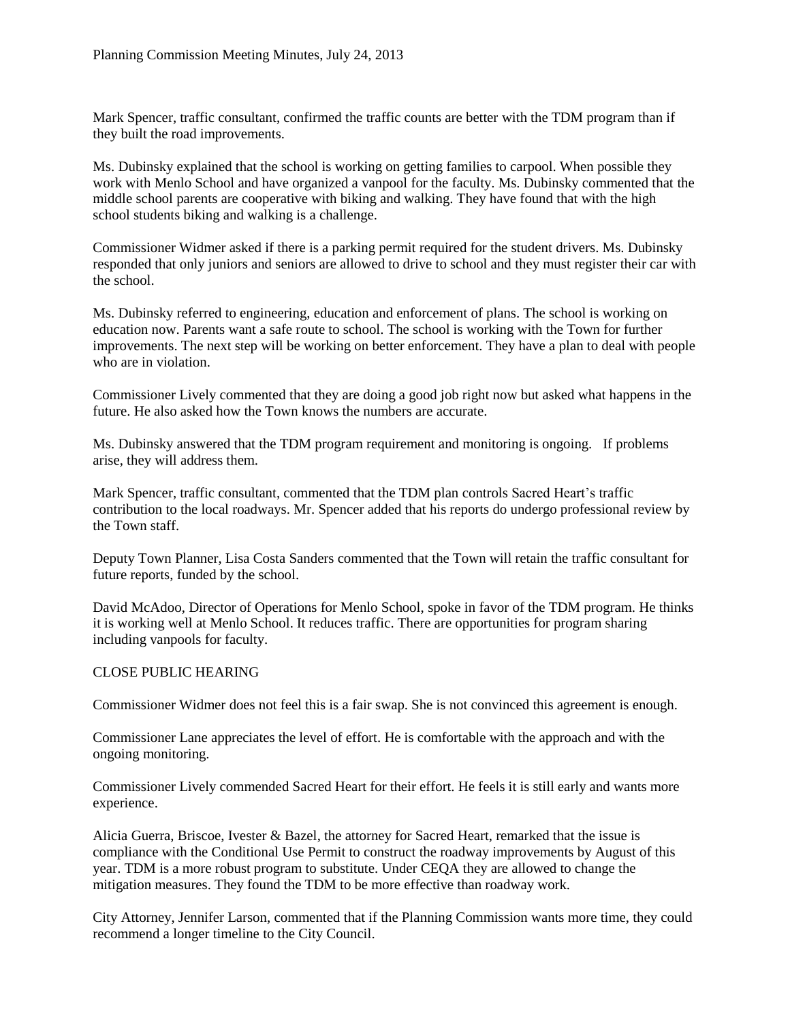Mark Spencer, traffic consultant, confirmed the traffic counts are better with the TDM program than if they built the road improvements.

Ms. Dubinsky explained that the school is working on getting families to carpool. When possible they work with Menlo School and have organized a vanpool for the faculty. Ms. Dubinsky commented that the middle school parents are cooperative with biking and walking. They have found that with the high school students biking and walking is a challenge.

Commissioner Widmer asked if there is a parking permit required for the student drivers. Ms. Dubinsky responded that only juniors and seniors are allowed to drive to school and they must register their car with the school.

Ms. Dubinsky referred to engineering, education and enforcement of plans. The school is working on education now. Parents want a safe route to school. The school is working with the Town for further improvements. The next step will be working on better enforcement. They have a plan to deal with people who are in violation.

Commissioner Lively commented that they are doing a good job right now but asked what happens in the future. He also asked how the Town knows the numbers are accurate.

Ms. Dubinsky answered that the TDM program requirement and monitoring is ongoing. If problems arise, they will address them.

Mark Spencer, traffic consultant, commented that the TDM plan controls Sacred Heart's traffic contribution to the local roadways. Mr. Spencer added that his reports do undergo professional review by the Town staff.

Deputy Town Planner, Lisa Costa Sanders commented that the Town will retain the traffic consultant for future reports, funded by the school.

David McAdoo, Director of Operations for Menlo School, spoke in favor of the TDM program. He thinks it is working well at Menlo School. It reduces traffic. There are opportunities for program sharing including vanpools for faculty.

# CLOSE PUBLIC HEARING

Commissioner Widmer does not feel this is a fair swap. She is not convinced this agreement is enough.

Commissioner Lane appreciates the level of effort. He is comfortable with the approach and with the ongoing monitoring.

Commissioner Lively commended Sacred Heart for their effort. He feels it is still early and wants more experience.

Alicia Guerra, Briscoe, Ivester & Bazel, the attorney for Sacred Heart, remarked that the issue is compliance with the Conditional Use Permit to construct the roadway improvements by August of this year. TDM is a more robust program to substitute. Under CEQA they are allowed to change the mitigation measures. They found the TDM to be more effective than roadway work.

City Attorney, Jennifer Larson, commented that if the Planning Commission wants more time, they could recommend a longer timeline to the City Council.